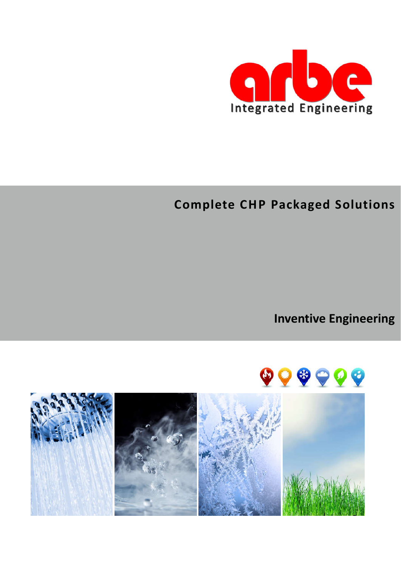

# **Complete CHP Packaged Solutions**

**Inventive Engineering**



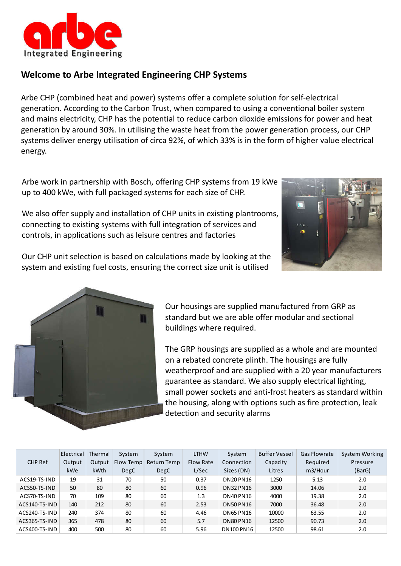

# **Welcome to Arbe Integrated Engineering CHP Systems**

Arbe CHP (combined heat and power) systems offer a complete solution for self-electrical generation. According to the Carbon Trust, when compared to using a conventional boiler system and mains electricity, CHP has the potential to reduce carbon dioxide emissions for power and heat generation by around 30%. In utilising the waste heat from the power generation process, our CHP systems deliver energy utilisation of circa 92%, of which 33% is in the form of higher value electrical energy.

Arbe work in partnership with Bosch, offering CHP systems from 19 kWe up to 400 kWe, with full packaged systems for each size of CHP.

We also offer supply and installation of CHP units in existing plantrooms, connecting to existing systems with full integration of services and controls, in applications such as leisure centres and factories



Our CHP unit selection is based on calculations made by looking at the system and existing fuel costs, ensuring the correct size unit is utilised



Our housings are supplied manufactured from GRP as standard but we are able offer modular and sectional buildings where required.

The GRP housings are supplied as a whole and are mounted on a rebated concrete plinth. The housings are fully weatherproof and are supplied with a 20 year manufacturers guarantee as standard. We also supply electrical lighting, small power sockets and anti-frost heaters as standard within the housing, along with options such as fire protection, leak detection and security alarms

|               | Electrical | Thermal | System    | System      | <b>LTHW</b>      | System           | <b>Buffer Vessel</b> | <b>Gas Flowrate</b> | System Working |
|---------------|------------|---------|-----------|-------------|------------------|------------------|----------------------|---------------------|----------------|
| CHP Ref       | Output     | Output  | Flow Temp | Return Temp | <b>Flow Rate</b> | Connection       | Capacity             | Required            | Pressure       |
|               | kWe        | kWth    | DegC      | <b>DegC</b> | L/Sec            | Sizes (DN)       | Litres               | m3/Hour             | (BarG)         |
| ACS19-TS-IND  | 19         | 31      | 70        | 50          | 0.37             | <b>DN20 PN16</b> | 1250                 | 5.13                | 2.0            |
| ACS50-TS-IND  | 50         | 80      | 80        | 60          | 0.96             | <b>DN32 PN16</b> | 3000                 | 14.06               | 2.0            |
| ACS70-TS-IND  | 70         | 109     | 80        | 60          | 1.3              | <b>DN40 PN16</b> | 4000                 | 19.38               | 2.0            |
| ACS140-TS-IND | 140        | 212     | 80        | 60          | 2.53             | <b>DN50 PN16</b> | 7000                 | 36.48               | 2.0            |
| ACS240-TS-IND | 240        | 374     | 80        | 60          | 4.46             | <b>DN65 PN16</b> | 10000                | 63.55               | 2.0            |
| ACS365-TS-IND | 365        | 478     | 80        | 60          | 5.7              | <b>DN80 PN16</b> | 12500                | 90.73               | 2.0            |
| ACS400-TS-IND | 400        | 500     | 80        | 60          | 5.96             | DN100 PN16       | 12500                | 98.61               | 2.0            |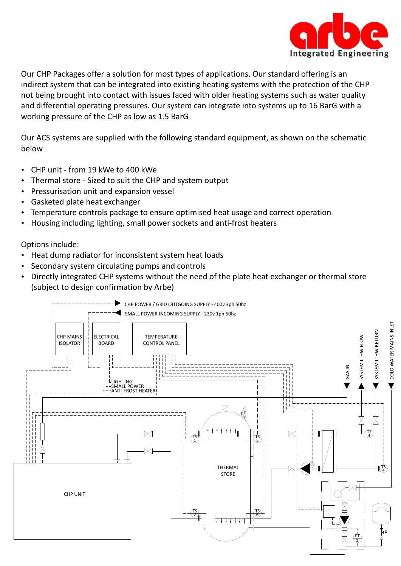

Our CHP Packages offer a solution for most types of applications. Our standard offering is an indirect system that can be integrated into existing heating systems with the protection of the CHP not being brought into contact with issues faced with older heating systems such as water quality and differential operating pressures. Our system can integrate into systems up to 16 BarG with a working pressure of the CHP as low as 1.5 BarG

Our ACS systems are supplied with the following standard equipment, as shown on the schematic below

- CHP unit from 19 kWe to 400 kWe
- Thermal store Sized to suit the CHP and system output
- Pressurisation unit and expansion vessel
- Gasketed plate heat exchanger
- Temperature controls package to ensure optimised heat usage and correct operation
- Housing including lighting, small power sockets and anti-frost heaters

Options include:

- Heat dump radiator for inconsistent system heat loads
- Secondary system circulating pumps and controls
- Directly integrated CHP systems without the need of the plate heat exchanger or thermal store (subject to design confirmation by Arbe)

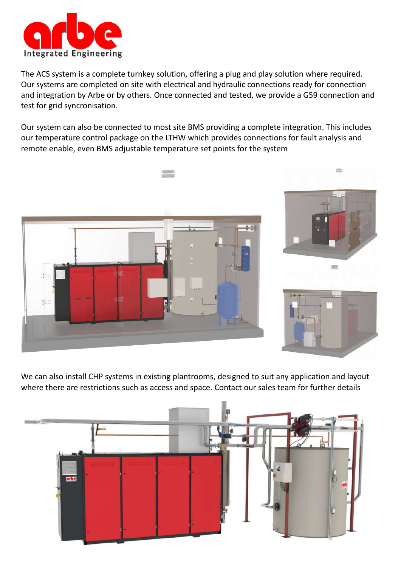

The ACS system is a complete turnkey solution, offering a plug and play solution where required. Our systems are completed on site with electrical and hydraulic connections ready for connection and integration by Arbe or by others. Once connected and tested, we provide a G59 connection and test for grid syncronisation.

Our system can also be connected to most site BMS providing a complete integration. This includes our temperature control package on the LTHW which provides connections for fault analysis and remote enable, even BMS adjustable temperature set points for the system



We can also install CHP systems in existing plantrooms, designed to suit any application and layout where there are restrictions such as access and space. Contact our sales team for further details

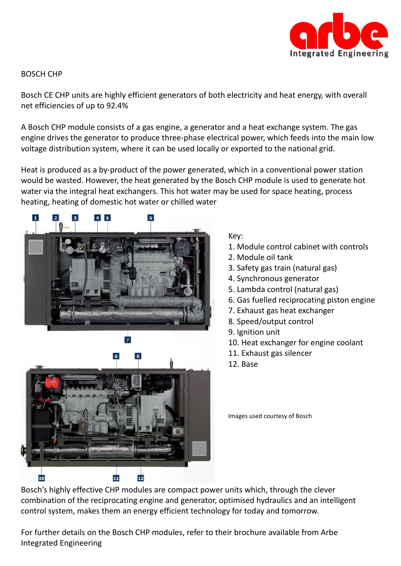

## BOSCH CHP

Bosch CE CHP units are highly efficient generators of both electricity and heat energy, with overall net efficiencies of up to 92.4%

A Bosch CHP module consists of a gas engine, a generator and a heat exchange system. The gas engine drives the generator to produce three-phase electrical power, which feeds into the main low voltage distribution system, where it can be used locally or exported to the national grid.

Heat is produced as a by-product of the power generated, which in a conventional power station would be wasted. However, the heat generated by the Bosch CHP module is used to generate hot water via the integral heat exchangers. This hot water may be used for space heating, process heating, heating of domestic hot water or chilled water



## Key:

- 1. Module control cabinet with controls
- 2. Module oil tank
- 3. Safety gas train (natural gas)
- 4. Synchronous generator
- 5. Lambda control (natural gas)
- 6. Gas fuelled reciprocating piston engine
- 7. Exhaust gas heat exchanger
- 8. Speed/output control
- 9. Ignition unit
- 10. Heat exchanger for engine coolant
- 11. Exhaust gas silencer
- 12. Base

Images used courtesy of Bosch

Bosch's highly effective CHP modules are compact power units which, through the clever combination of the reciprocating engine and generator, optimised hydraulics and an intelligent control system, makes them an energy efficient technology for today and tomorrow.

For further details on the Bosch CHP modules, refer to their brochure available from Arbe Integrated Engineering